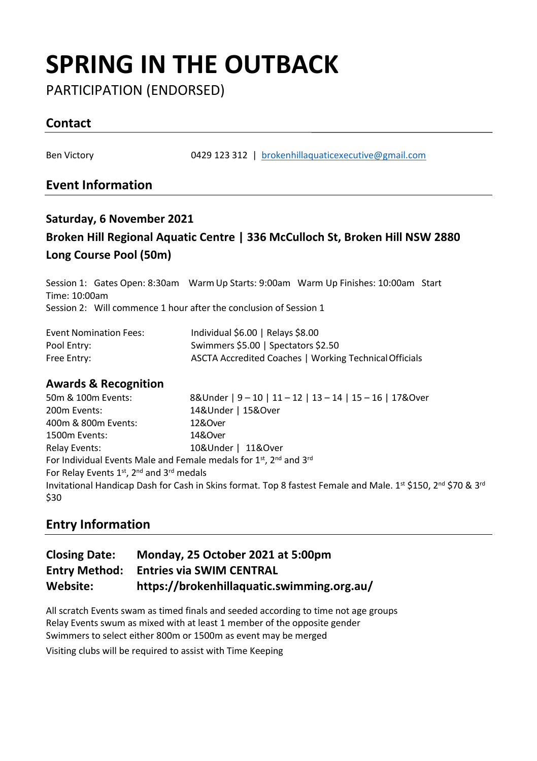## **SPRING IN THE OUTBACK**

PARTICIPATION (ENDORSED)

## **Contact**

Ben Victory 0429 123 312 | [brokenhillaquaticexecutive@gmail.com](mailto:brokenhillaquaticexecutive@gmail.com)

## **Event Information**

## **Saturday, 6 November 2021 Broken Hill Regional Aquatic Centre | 336 McCulloch St, Broken Hill NSW 2880 Long Course Pool (50m)**

Session 1: Gates Open: 8:30am WarmUp Starts: 9:00am Warm Up Finishes: 10:00am Start Time: 10:00am Session 2: Will commence 1 hour after the conclusion of Session 1

| <b>Event Nomination Fees:</b> | Individual \$6.00   Relays \$8.00                      |
|-------------------------------|--------------------------------------------------------|
| Pool Entry:                   | Swimmers \$5.00   Spectators \$2.50                    |
| Free Entry:                   | ASCTA Accredited Coaches   Working Technical Officials |

#### **Awards & Recognition**

| 50m & 100m Events:                       | 8&Under   9 - 10   11 - 12   13 - 14   15 - 16   17&Over                                                      |
|------------------------------------------|---------------------------------------------------------------------------------------------------------------|
| 200m Events:                             | 14&Under   15&Over                                                                                            |
| 400m & 800m Events:                      | 12&Over                                                                                                       |
| 1500m Events:                            | 14&Over                                                                                                       |
| <b>Relay Events:</b>                     | 10&Under   11&Over                                                                                            |
|                                          | For Individual Events Male and Female medals for 1 <sup>st</sup> , 2 <sup>nd</sup> and 3 <sup>rd</sup>        |
| For Relay Events 1st, 2nd and 3rd medals |                                                                                                               |
| \$30                                     | Invitational Handicap Dash for Cash in Skins format. Top 8 fastest Female and Male. 1st \$150, 2nd \$70 & 3rd |
|                                          |                                                                                                               |

## **Entry Information**

| <b>Closing Date:</b> | Monday, 25 October 2021 at 5:00pm          |
|----------------------|--------------------------------------------|
| <b>Entry Method:</b> | <b>Entries via SWIM CENTRAL</b>            |
| Website:             | https://brokenhillaquatic.swimming.org.au/ |

All scratch Events swam as timed finals and seeded according to time not age groups Relay Events swum as mixed with at least 1 member of the opposite gender Swimmers to select either 800m or 1500m as event may be merged

Visiting clubs will be required to assist with Time Keeping